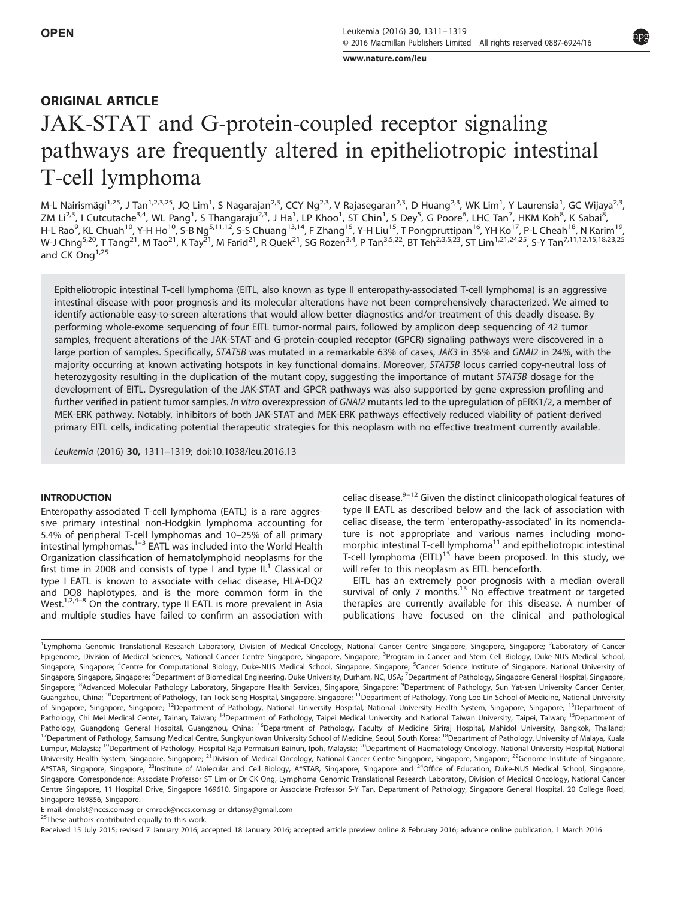www.nature.com/leu

# ORIGINAL ARTICLE

# JAK-STAT and G-protein-coupled receptor signaling pathways are frequently altered in epitheliotropic intestinal T-cell lymphoma

M-L Nairismägi<sup>1,25</sup>, J Tan<sup>1,2,3,25</sup>, JQ Lim<sup>1</sup>, S Nagarajan<sup>2,3</sup>, CCY Ng<sup>2,3</sup>, V Rajasegaran<sup>2,3</sup>, D Huang<sup>2,3</sup>, WK Lim<sup>1</sup>, Y Laurensia<sup>1</sup>, GC Wijaya<sup>2,3</sup>, ZM Li<sup>2,3</sup>, I Cutcutache<sup>3,4</sup>, WL Pang<sup>1</sup>, S Thangaraju<sup>2,3</sup>, J Ha<sup>1</sup>, LP Khoo<sup>1</sup>, ST Chin<sup>1</sup>, S Dey<sup>5</sup>, G Poore<sup>6</sup>, LHC Tan<sup>7</sup>, HKM Koh<sup>8</sup>, K Sabai<sup>8</sup>, H-L Rao<sup>9</sup>, KL Chuah<sup>10</sup>, Y-H Ho<sup>10</sup>, S-B Ng<sup>5,11,12</sup>, S-S Chuang<sup>13,14</sup>, F Zhang<sup>15</sup>, Y-H Liu<sup>15</sup>, T Pongpruttipan<sup>16</sup>, YH Ko<sup>17</sup>, P-L Cheah<sup>18</sup>, N Karim<sup>19</sup>, W-J Chng<sup>5,20</sup>, T Tang<sup>21</sup>, M Tao<sup>21</sup>, K Tay<sup>21</sup>, M Farid<sup>21</sup>, R Quek<sup>21</sup>, SG Rozen<sup>3,4</sup>, P Tan<sup>3,5,22</sup>, BT Teh<sup>2,3,5,23</sup>, ST Lim<sup>1,21,24,25</sup>, S-Y Tan<sup>7,11,12,15,18,23,25</sup> and CK Ong<sup>1,25</sup>

Epitheliotropic intestinal T-cell lymphoma (EITL, also known as type II enteropathy-associated T-cell lymphoma) is an aggressive intestinal disease with poor prognosis and its molecular alterations have not been comprehensively characterized. We aimed to identify actionable easy-to-screen alterations that would allow better diagnostics and/or treatment of this deadly disease. By performing whole-exome sequencing of four EITL tumor-normal pairs, followed by amplicon deep sequencing of 42 tumor samples, frequent alterations of the JAK-STAT and G-protein-coupled receptor (GPCR) signaling pathways were discovered in a large portion of samples. Specifically, STAT5B was mutated in a remarkable 63% of cases, JAK3 in 35% and GNAI2 in 24%, with the majority occurring at known activating hotspots in key functional domains. Moreover, STAT5B locus carried copy-neutral loss of heterozygosity resulting in the duplication of the mutant copy, suggesting the importance of mutant STAT5B dosage for the development of EITL. Dysregulation of the JAK-STAT and GPCR pathways was also supported by gene expression profiling and further verified in patient tumor samples. In vitro overexpression of GNAI2 mutants led to the upregulation of pERK1/2, a member of MEK-ERK pathway. Notably, inhibitors of both JAK-STAT and MEK-ERK pathways effectively reduced viability of patient-derived primary EITL cells, indicating potential therapeutic strategies for this neoplasm with no effective treatment currently available.

Leukemia (2016) 30, 1311–1319; doi:10.1038/leu.2016.13

# **INTRODUCTION**

Enteropathy-associated T-cell lymphoma (EATL) is a rare aggressive primary intestinal non-Hodgkin lymphoma accounting for 5.4% of peripheral T-cell lymphomas and 10–25% of all primary intestinal lymphomas.1–<sup>3</sup> EATL was included into the World Health Organization classification of hematolymphoid neoplasms for the first time in 2008 and consists of type I and type II.<sup>1</sup> Classical or type I EATL is known to associate with celiac disease, HLA-DQ2 and DQ8 haplotypes, and is the more common form in the West.<sup>1,2,4–8</sup> On the contrary, type II EATL is more prevalent in Asia and multiple studies have failed to confirm an association with celiac disease.<sup>9-12</sup> Given the distinct clinicopathological features of type II EATL as described below and the lack of association with celiac disease, the term 'enteropathy-associated' in its nomenclature is not appropriate and various names including monomorphic intestinal T-cell lymphoma $<sup>11</sup>$  and epitheliotropic intestinal</sup> T-cell lymphoma (EITL)<sup>13</sup> have been proposed. In this study, we will refer to this neoplasm as EITL henceforth.

EITL has an extremely poor prognosis with a median overall survival of only 7 months.<sup>13</sup> No effective treatment or targeted therapies are currently available for this disease. A number of publications have focused on the clinical and pathological

E-mail: dmolst@nccs.com.sg or cmrock@nccs.com.sg or drtansy@gmail.com

<sup>25</sup>These authors contributed equally to this work.

Received 15 July 2015; revised 7 January 2016; accepted 18 January 2016; accepted article preview online 8 February 2016; advance online publication, 1 March 2016

<sup>&</sup>lt;sup>1</sup>Lymphoma Genomic Translational Research Laboratory, Division of Medical Oncology, National Cancer Centre Singapore, Singapore, Singapore; <sup>2</sup>Laboratory of Cancer Epigenome, Division of Medical Sciences, National Cancer Centre Singapore, Singapore, <sup>S</sup>ingapore; <sup>3</sup>Program in Cancer and Stem Cell Biology, Duke-NUS Medical School, Singapore, Singapore; <sup>4</sup>Centre for Computational Biology, Duke-NUS Medical School, Singapore, Singapore; <sup>5</sup>Cancer Science Institute of Singapore, National University of Singapore, Singapore, Singapore; <sup>6</sup>Department of Biomedical Engineering, Duke University, Durham, NC, USA; <sup>7</sup>Department of Pathology, Singapore General Hospital, Singapore, Singapore; <sup>8</sup>Advanced Molecular Pathology Laboratory, Singapore Health Services, Singapore, Singapore; <sup>9</sup>Department of Pathology, Sun Yat-sen University Cancer Center, Guangzhou, China; <sup>10</sup>Department of Pathology, Tan Tock Seng Hospital, Singapore, Singapore; <sup>11</sup>Department of Pathology, Yong Loo Lin School of Medicine, National University of Singapore, Singapore, Singapore; <sup>12</sup>Department of Pathology, National University Hospital, National University Health System, Singapore, Singapore; <sup>13</sup>Department of Pathology, Chi Mei Medical Center, Tainan, Taiwan; <sup>14</sup>Department of Pathology, Taipei Medical University and National Taiwan University, Taipei, Taiwan; <sup>15</sup>Department of Pathology, Guangdong General Hospital, Guangzhou, China; <sup>16</sup>Department of Pathology, Faculty of Medicine Siriraj Hospital, Mahidol University, Bangkok, Thailand; <sup>17</sup>Department of Pathology, Samsung Medical Centre, Sungkyunkwan University School of Medicine, Seoul, South Korea; <sup>18</sup>Department of Pathology, University of Malaya, Kuala Lumpur, Malaysia; <sup>19</sup>Department of Pathology, Hospital Raja Permaisuri Bainun, Ipoh, Malaysia; <sup>20</sup>Department of Haematology-Oncology, National University Hospital, National University Health System, Singapore, Singapore; <sup>21</sup>Division of Medical Oncology, National Cancer Centre Singapore, Singapore, Singapore; <sup>22</sup>Genome Institute of Singapore, A\*STAR, Singapore, Singapore; <sup>23</sup>Institute of Molecular and Cell Biology, A\*STAR, Singapore, Singapore and <sup>24</sup>Office of Education, Duke-NUS Medical School, Singapore, Singapore. Correspondence: Associate Professor ST Lim or Dr CK Ong, Lymphoma Genomic Translational Research Laboratory, Division of Medical Oncology, National Cancer Centre Singapore, 11 Hospital Drive, Singapore 169610, Singapore or Associate Professor S-Y Tan, Department of Pathology, Singapore General Hospital, 20 College Road, Singapore 169856, Singapore.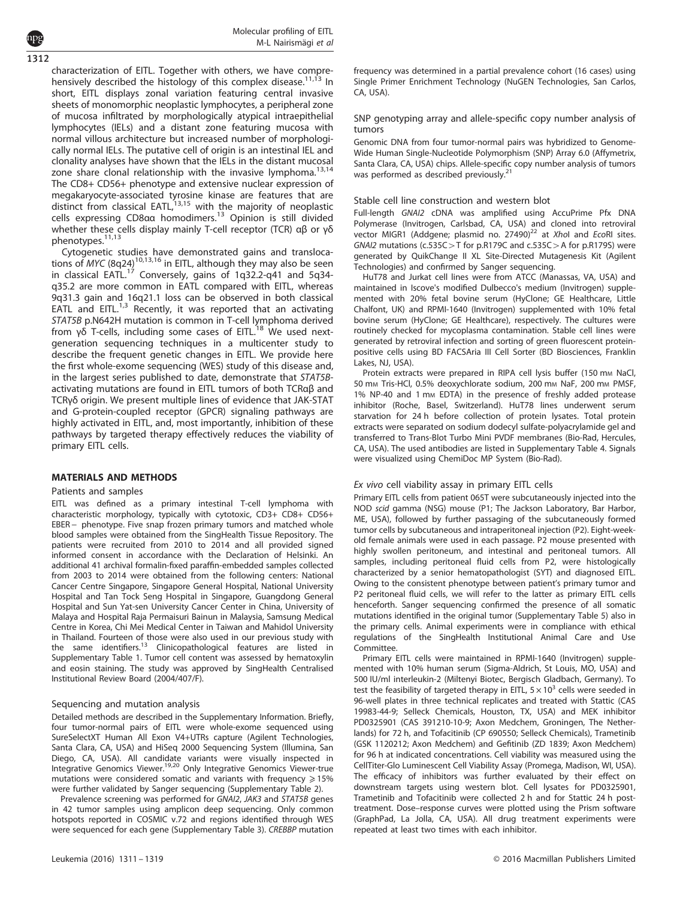Molecular profiling of EITL M-L Nairismägi et al

characterization of EITL. Together with others, we have comprehensively described the histology of this complex disease.<sup>11,13</sup> In short, EITL displays zonal variation featuring central invasive sheets of monomorphic neoplastic lymphocytes, a peripheral zone of mucosa infiltrated by morphologically atypical intraepithelial lymphocytes (IELs) and a distant zone featuring mucosa with normal villous architecture but increased number of morphologically normal IELs. The putative cell of origin is an intestinal IEL and clonality analyses have shown that the IELs in the distant mucosal zone share clonal relationship with the invasive lymphoma.<sup>13,14</sup> The CD8+ CD56+ phenotype and extensive nuclear expression of megakaryocyte-associated tyrosine kinase are features that are<br>distinct from classical EATL,<sup>13,15</sup> with the majority of neoplastic cells expressing CD8αα homodimers.<sup>13</sup> Opinion is still divided whether these cells display mainly T-cell receptor (TCR) αβ or γδ phenotypes.11,13 1312

Cytogenetic studies have demonstrated gains and translocations of MYC (8q24)10,13,16 in EITL, although they may also be seen in classical EATL.<sup>17</sup> Conversely, gains of 1q32.2-q41 and 5q34q35.2 are more common in EATL compared with EITL, whereas 9q31.3 gain and 16q21.1 loss can be observed in both classical EATL and EITL.<sup>1,3</sup> Recently, it was reported that an activating STAT5B p.N642H mutation is common in T-cell lymphoma derived from γδ T-cells, including some cases of EITL.<sup>18</sup> We used nextgeneration sequencing techniques in a multicenter study to describe the frequent genetic changes in EITL. We provide here the first whole-exome sequencing (WES) study of this disease and, in the largest series published to date, demonstrate that STAT5Bactivating mutations are found in EITL tumors of both TCRαβ and TCRγδ origin. We present multiple lines of evidence that JAK-STAT and G-protein-coupled receptor (GPCR) signaling pathways are highly activated in EITL, and, most importantly, inhibition of these pathways by targeted therapy effectively reduces the viability of primary EITL cells.

# MATERIALS AND METHODS

#### Patients and samples

EITL was defined as a primary intestinal T-cell lymphoma with characteristic morphology, typically with cytotoxic, CD3+ CD8+ CD56+ EBER – phenotype. Five snap frozen primary tumors and matched whole blood samples were obtained from the SingHealth Tissue Repository. The patients were recruited from 2010 to 2014 and all provided signed informed consent in accordance with the Declaration of Helsinki. An additional 41 archival formalin-fixed paraffin-embedded samples collected from 2003 to 2014 were obtained from the following centers: National Cancer Centre Singapore, Singapore General Hospital, National University Hospital and Tan Tock Seng Hospital in Singapore, Guangdong General Hospital and Sun Yat-sen University Cancer Center in China, University of Malaya and Hospital Raja Permaisuri Bainun in Malaysia, Samsung Medical Centre in Korea, Chi Mei Medical Center in Taiwan and Mahidol University in Thailand. Fourteen of those were also used in our previous study with the same identifiers.<sup>13</sup> Clinicopathological features are listed in Supplementary Table 1. Tumor cell content was assessed by hematoxylin and eosin staining. The study was approved by SingHealth Centralised Institutional Review Board (2004/407/F).

#### Sequencing and mutation analysis

Detailed methods are described in the Supplementary Information. Briefly, four tumor-normal pairs of EITL were whole-exome sequenced using SureSelectXT Human All Exon V4+UTRs capture (Agilent Technologies, Santa Clara, CA, USA) and HiSeq 2000 Sequencing System (Illumina, San Diego, CA, USA). All candidate variants were visually inspected in Integrative Genomics Viewer.19,20 Only Integrative Genomics Viewer-true mutations were considered somatic and variants with frequency  $\geq 15\%$ were further validated by Sanger sequencing (Supplementary Table 2).

Prevalence screening was performed for GNAI2, JAK3 and STAT5B genes in 42 tumor samples using amplicon deep sequencing. Only common hotspots reported in COSMIC v.72 and regions identified through WES were sequenced for each gene (Supplementary Table 3). CREBBP mutation frequency was determined in a partial prevalence cohort (16 cases) using Single Primer Enrichment Technology (NuGEN Technologies, San Carlos, CA, USA).

#### SNP genotyping array and allele-specific copy number analysis of tumors

Genomic DNA from four tumor-normal pairs was hybridized to Genome-Wide Human Single-Nucleotide Polymorphism (SNP) Array 6.0 (Affymetrix, Santa Clara, CA, USA) chips. Allele-specific copy number analysis of tumors was performed as described previously.<sup>2</sup>

#### Stable cell line construction and western blot

Full-length GNAI2 cDNA was amplified using AccuPrime Pfx DNA Polymerase (Invitrogen, Carlsbad, CA, USA) and cloned into retroviral vector MIGR1 (Addgene; plasmid no.  $27490)^{22}$  at XhoI and EcoRI sites. GNAI2 mutations (c.535C > T for p.R179C and c.535C > A for p.R179S) were generated by QuikChange II XL Site-Directed Mutagenesis Kit (Agilent Technologies) and confirmed by Sanger sequencing.

HuT78 and Jurkat cell lines were from ATCC (Manassas, VA, USA) and maintained in Iscove's modified Dulbecco's medium (Invitrogen) supplemented with 20% fetal bovine serum (HyClone; GE Healthcare, Little Chalfont, UK) and RPMI-1640 (Invitrogen) supplemented with 10% fetal bovine serum (HyClone; GE Healthcare), respectively. The cultures were routinely checked for mycoplasma contamination. Stable cell lines were generated by retroviral infection and sorting of green fluorescent proteinpositive cells using BD FACSAria III Cell Sorter (BD Biosciences, Franklin Lakes, NJ, USA).

Protein extracts were prepared in RIPA cell lysis buffer (150 mm NaCl, 50 mm Tris-HCl, 0.5% deoxychlorate sodium, 200 mm NaF, 200 mm PMSF, 1% NP-40 and 1 mm EDTA) in the presence of freshly added protease inhibitor (Roche, Basel, Switzerland). HuT78 lines underwent serum starvation for 24 h before collection of protein lysates. Total protein extracts were separated on sodium dodecyl sulfate-polyacrylamide gel and transferred to Trans-Blot Turbo Mini PVDF membranes (Bio-Rad, Hercules, CA, USA). The used antibodies are listed in Supplementary Table 4. Signals were visualized using ChemiDoc MP System (Bio-Rad).

#### Ex vivo cell viability assay in primary EITL cells

Primary EITL cells from patient 065T were subcutaneously injected into the NOD scid gamma (NSG) mouse (P1; The Jackson Laboratory, Bar Harbor, ME, USA), followed by further passaging of the subcutaneously formed tumor cells by subcutaneous and intraperitoneal injection (P2). Eight-weekold female animals were used in each passage. P2 mouse presented with highly swollen peritoneum, and intestinal and peritoneal tumors. All samples, including peritoneal fluid cells from P2, were histologically characterized by a senior hematopathologist (SYT) and diagnosed EITL. Owing to the consistent phenotype between patient's primary tumor and P2 peritoneal fluid cells, we will refer to the latter as primary EITL cells henceforth. Sanger sequencing confirmed the presence of all somatic mutations identified in the original tumor (Supplementary Table 5) also in the primary cells. Animal experiments were in compliance with ethical regulations of the SingHealth Institutional Animal Care and Use Committee.

Primary EITL cells were maintained in RPMI-1640 (Invitrogen) supplemented with 10% human serum (Sigma-Aldrich, St Louis, MO, USA) and 500 IU/ml interleukin-2 (Miltenyi Biotec, Bergisch Gladbach, Germany). To test the feasibility of targeted therapy in EITL,  $5 \times 10^3$  cells were seeded in 96-well plates in three technical replicates and treated with Stattic (CAS 19983-44-9; Selleck Chemicals, Houston, TX, USA) and MEK inhibitor PD0325901 (CAS 391210-10-9; Axon Medchem, Groningen, The Netherlands) for 72 h, and Tofacitinib (CP 690550; Selleck Chemicals), Trametinib (GSK 1120212; Axon Medchem) and Gefitinib (ZD 1839; Axon Medchem) for 96 h at indicated concentrations. Cell viability was measured using the CellTiter-Glo Luminescent Cell Viability Assay (Promega, Madison, WI, USA). The efficacy of inhibitors was further evaluated by their effect on downstream targets using western blot. Cell lysates for PD0325901, Trametinib and Tofacitinib were collected 2 h and for Stattic 24 h posttreatment. Dose–response curves were plotted using the Prism software (GraphPad, La Jolla, CA, USA). All drug treatment experiments were repeated at least two times with each inhibitor.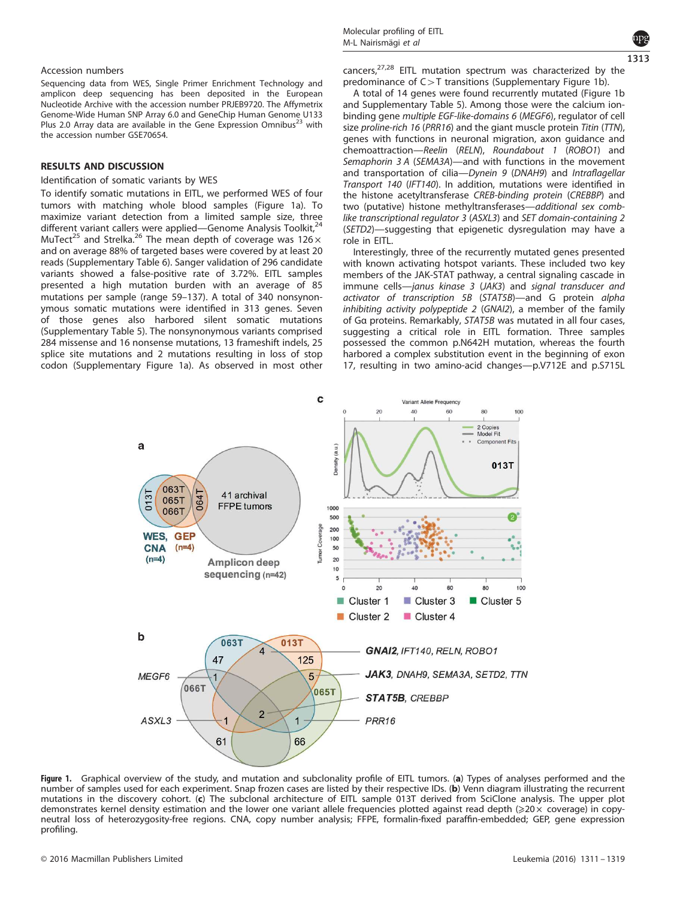#### Accession numbers

Sequencing data from WES, Single Primer Enrichment Technology and amplicon deep sequencing has been deposited in the European Nucleotide Archive with the accession number PRJEB9720. The Affymetrix Genome-Wide Human SNP Array 6.0 and GeneChip Human Genome U133 Plus 2.0 Array data are available in the Gene Expression Omnibus<sup>23</sup> with the accession number GSE70654.

# RESULTS AND DISCUSSION

# Identification of somatic variants by WES

To identify somatic mutations in EITL, we performed WES of four tumors with matching whole blood samples (Figure 1a). To maximize variant detection from a limited sample size, three different variant callers were applied—Genome Analysis Toolkit,<sup>2</sup> MuTect<sup>25</sup> and Strelka.<sup>26</sup> The mean depth of coverage was  $126 \times$ and on average 88% of targeted bases were covered by at least 20 reads (Supplementary Table 6). Sanger validation of 296 candidate variants showed a false-positive rate of 3.72%. EITL samples presented a high mutation burden with an average of 85 mutations per sample (range 59–137). A total of 340 nonsynonymous somatic mutations were identified in 313 genes. Seven of those genes also harbored silent somatic mutations (Supplementary Table 5). The nonsynonymous variants comprised 284 missense and 16 nonsense mutations, 13 frameshift indels, 25 splice site mutations and 2 mutations resulting in loss of stop codon (Supplementary Figure 1a). As observed in most other



cancers, $27,28$  EITL mutation spectrum was characterized by the predominance of  $C > T$  transitions (Supplementary Figure 1b).

A total of 14 genes were found recurrently mutated (Figure 1b and Supplementary Table 5). Among those were the calcium ionbinding gene multiple EGF-like-domains 6 (MEGF6), regulator of cell size proline-rich 16 (PRR16) and the giant muscle protein Titin (TTN), genes with functions in neuronal migration, axon guidance and chemoattraction—Reelin (RELN), Roundabout 1 (ROBO1) and Semaphorin 3 A (SEMA3A)—and with functions in the movement and transportation of cilia-Dynein 9 (DNAH9) and Intraflagellar Transport 140 (IFT140). In addition, mutations were identified in the histone acetyltransferase CREB-binding protein (CREBBP) and two (putative) histone methyltransferases—additional sex comblike transcriptional regulator 3 (ASXL3) and SET domain-containing 2 (SETD2)—suggesting that epigenetic dysregulation may have a role in EITL.

Interestingly, three of the recurrently mutated genes presented with known activating hotspot variants. These included two key members of the JAK-STAT pathway, a central signaling cascade in immune cells—janus kinase 3 (JAK3) and signal transducer and activator of transcription 5B (STAT5B)—and G protein alpha inhibiting activity polypeptide 2 (GNAI2), a member of the family of Gα proteins. Remarkably, STAT5B was mutated in all four cases, suggesting a critical role in EITL formation. Three samples possessed the common p.N642H mutation, whereas the fourth harbored a complex substitution event in the beginning of exon 17, resulting in two amino-acid changes—p.V712E and p.S715L



Figure 1. Graphical overview of the study, and mutation and subclonality profile of EITL tumors. (a) Types of analyses performed and the number of samples used for each experiment. Snap frozen cases are listed by their respective IDs. (b) Venn diagram illustrating the recurrent mutations in the discovery cohort. (c) The subclonal architecture of EITL sample 013T derived from SciClone analysis. The upper plot demonstrates kernel density estimation and the lower one variant allele frequencies plotted against read depth ( $≥20 \times$  coverage) in copyneutral loss of heterozygosity-free regions. CNA, copy number analysis; FFPE, formalin-fixed paraffin-embedded; GEP, gene expression profiling.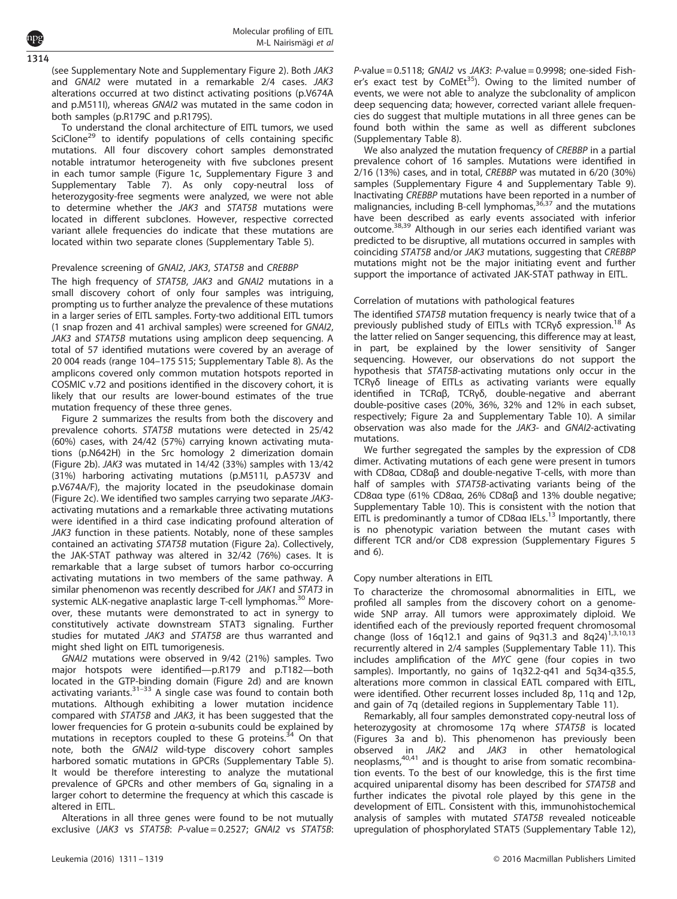(see Supplementary Note and Supplementary Figure 2). Both JAK3 and GNAI2 were mutated in a remarkable 2/4 cases. JAK3 alterations occurred at two distinct activating positions (p.V674A and p.M511I), whereas GNAI2 was mutated in the same codon in both samples (p.R179C and p.R179S).

To understand the clonal architecture of EITL tumors, we used SciClone<sup>29</sup> to identify populations of cells containing specific mutations. All four discovery cohort samples demonstrated notable intratumor heterogeneity with five subclones present in each tumor sample (Figure 1c, Supplementary Figure 3 and Supplementary Table 7). As only copy-neutral loss of heterozygosity-free segments were analyzed, we were not able to determine whether the JAK3 and STAT5B mutations were located in different subclones. However, respective corrected variant allele frequencies do indicate that these mutations are located within two separate clones (Supplementary Table 5).

#### Prevalence screening of GNAI2, JAK3, STAT5B and CREBBP

The high frequency of STAT5B, JAK3 and GNAI2 mutations in a small discovery cohort of only four samples was intriguing, prompting us to further analyze the prevalence of these mutations in a larger series of EITL samples. Forty-two additional EITL tumors (1 snap frozen and 41 archival samples) were screened for GNAI2, JAK3 and STAT5B mutations using amplicon deep sequencing. A total of 57 identified mutations were covered by an average of 20 004 reads (range 104–175 515; Supplementary Table 8). As the amplicons covered only common mutation hotspots reported in COSMIC v.72 and positions identified in the discovery cohort, it is likely that our results are lower-bound estimates of the true mutation frequency of these three genes.

Figure 2 summarizes the results from both the discovery and prevalence cohorts. STAT5B mutations were detected in 25/42 (60%) cases, with 24/42 (57%) carrying known activating mutations (p.N642H) in the Src homology 2 dimerization domain (Figure 2b). JAK3 was mutated in 14/42 (33%) samples with 13/42 (31%) harboring activating mutations (p.M511I, p.A573V and p.V674A/F), the majority located in the pseudokinase domain (Figure 2c). We identified two samples carrying two separate JAK3 activating mutations and a remarkable three activating mutations were identified in a third case indicating profound alteration of JAK3 function in these patients. Notably, none of these samples contained an activating STAT5B mutation (Figure 2a). Collectively, the JAK-STAT pathway was altered in 32/42 (76%) cases. It is remarkable that a large subset of tumors harbor co-occurring activating mutations in two members of the same pathway. A similar phenomenon was recently described for JAK1 and STAT3 in systemic ALK-negative anaplastic large T-cell lymphomas.<sup>30</sup> Moreover, these mutants were demonstrated to act in synergy to constitutively activate downstream STAT3 signaling. Further studies for mutated JAK3 and STAT5B are thus warranted and might shed light on EITL tumorigenesis.

GNAI2 mutations were observed in 9/42 (21%) samples. Two major hotspots were identified—p.R179 and p.T182—both located in the GTP-binding domain (Figure 2d) and are known activating variants. $31-33$  A single case was found to contain both mutations. Although exhibiting a lower mutation incidence compared with STAT5B and JAK3, it has been suggested that the lower frequencies for G protein α-subunits could be explained by mutations in receptors coupled to these G proteins.<sup>34</sup> On that note, both the GNAI2 wild-type discovery cohort samples harbored somatic mutations in GPCRs (Supplementary Table 5). It would be therefore interesting to analyze the mutational prevalence of GPCRs and other members of G $a_i$  signaling in a larger cohort to determine the frequency at which this cascade is altered in EITL.

Alterations in all three genes were found to be not mutually exclusive (JAK3 vs STAT5B: P-value = 0.2527; GNAI2 vs STAT5B:  $P$ -value = 0.5118; GNAI2 vs JAK3:  $P$ -value = 0.9998; one-sided Fisher's exact test by CoMEt<sup>35</sup>). Owing to the limited number of events, we were not able to analyze the subclonality of amplicon deep sequencing data; however, corrected variant allele frequencies do suggest that multiple mutations in all three genes can be found both within the same as well as different subclones (Supplementary Table 8).

We also analyzed the mutation frequency of CREBBP in a partial prevalence cohort of 16 samples. Mutations were identified in 2/16 (13%) cases, and in total, CREBBP was mutated in 6/20 (30%) samples (Supplementary Figure 4 and Supplementary Table 9). Inactivating CREBBP mutations have been reported in a number of malignancies, including B-cell lymphomas,<sup>36,37</sup> and the mutations have been described as early events associated with inferior outcome.38,39 Although in our series each identified variant was predicted to be disruptive, all mutations occurred in samples with coinciding STAT5B and/or JAK3 mutations, suggesting that CREBBP mutations might not be the major initiating event and further support the importance of activated JAK-STAT pathway in EITL.

#### Correlation of mutations with pathological features

The identified STAT5B mutation frequency is nearly twice that of a previously published study of EITLs with TCRγδ expression.<sup>18</sup> As the latter relied on Sanger sequencing, this difference may at least, in part, be explained by the lower sensitivity of Sanger sequencing. However, our observations do not support the hypothesis that STAT5B-activating mutations only occur in the TCRγδ lineage of EITLs as activating variants were equally identified in TCRαβ, TCRγδ, double-negative and aberrant double-positive cases (20%, 36%, 32% and 12% in each subset, respectively; Figure 2a and Supplementary Table 10). A similar observation was also made for the JAK3- and GNAI2-activating mutations.

We further segregated the samples by the expression of CD8 dimer. Activating mutations of each gene were present in tumors with CD8αα, CD8αβ and double-negative T-cells, with more than half of samples with STAT5B-activating variants being of the CD8αα type (61% CD8αα, 26% CD8αβ and 13% double negative; Supplementary Table 10). This is consistent with the notion that EITL is predominantly a tumor of CD8αα IELs.<sup>13</sup> Importantly, there is no phenotypic variation between the mutant cases with different TCR and/or CD8 expression (Supplementary Figures 5 and 6).

# Copy number alterations in EITL

To characterize the chromosomal abnormalities in EITL, we profiled all samples from the discovery cohort on a genomewide SNP array. All tumors were approximately diploid. We identified each of the previously reported frequent chromosomal change (loss of 16q12.1 and gains of 9q31.3 and 8q24) $^{1,3,10,13}$ recurrently altered in 2/4 samples (Supplementary Table 11). This includes amplification of the MYC gene (four copies in two samples). Importantly, no gains of 1q32.2-q41 and 5q34-q35.5, alterations more common in classical EATL compared with EITL, were identified. Other recurrent losses included 8p, 11q and 12p, and gain of 7q (detailed regions in Supplementary Table 11).

Remarkably, all four samples demonstrated copy-neutral loss of heterozygosity at chromosome 17q where STAT5B is located (Figures 3a and b). This phenomenon has previously been observed in *JAK2* and *JAK3* in other hematological neoplasms,<sup>40,41</sup> and is thought to arise from somatic recombination events. To the best of our knowledge, this is the first time acquired uniparental disomy has been described for STAT5B and further indicates the pivotal role played by this gene in the development of EITL. Consistent with this, immunohistochemical analysis of samples with mutated STAT5B revealed noticeable upregulation of phosphorylated STAT5 (Supplementary Table 12),

1314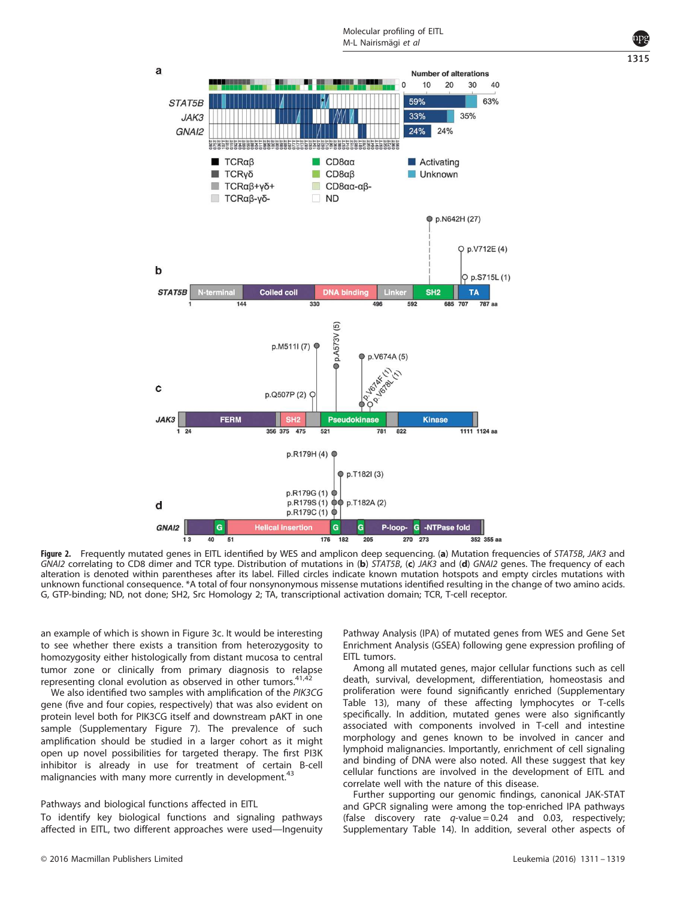

Figure 2. Frequently mutated genes in EITL identified by WES and amplicon deep sequencing. (a) Mutation frequencies of STAT5B, JAK3 and GNAI2 correlating to CD8 dimer and TCR type. Distribution of mutations in (b) STAT5B, (c) JAK3 and (d) GNAI2 genes. The frequency of each alteration is denoted within parentheses after its label. Filled circles indicate known mutation hotspots and empty circles mutations with unknown functional consequence. \*A total of four nonsynonymous missense mutations identified resulting in the change of two amino acids. G, GTP-binding; ND, not done; SH2, Src Homology 2; TA, transcriptional activation domain; TCR, T-cell receptor.

an example of which is shown in Figure 3c. It would be interesting to see whether there exists a transition from heterozygosity to homozygosity either histologically from distant mucosa to central tumor zone or clinically from primary diagnosis to relapse representing clonal evolution as observed in other tumors. $41,42$ 

We also identified two samples with amplification of the PIK3CG gene (five and four copies, respectively) that was also evident on protein level both for PIK3CG itself and downstream pAKT in one sample (Supplementary Figure 7). The prevalence of such amplification should be studied in a larger cohort as it might open up novel possibilities for targeted therapy. The first PI3K inhibitor is already in use for treatment of certain B-cell malignancies with many more currently in development.<sup>43</sup>

#### Pathways and biological functions affected in EITL

To identify key biological functions and signaling pathways affected in EITL, two different approaches were used—Ingenuity Pathway Analysis (IPA) of mutated genes from WES and Gene Set Enrichment Analysis (GSEA) following gene expression profiling of FITL tumors.

Among all mutated genes, major cellular functions such as cell death, survival, development, differentiation, homeostasis and proliferation were found significantly enriched (Supplementary Table 13), many of these affecting lymphocytes or T-cells specifically. In addition, mutated genes were also significantly associated with components involved in T-cell and intestine morphology and genes known to be involved in cancer and lymphoid malignancies. Importantly, enrichment of cell signaling and binding of DNA were also noted. All these suggest that key cellular functions are involved in the development of EITL and correlate well with the nature of this disease.

Further supporting our genomic findings, canonical JAK-STAT and GPCR signaling were among the top-enriched IPA pathways (false discovery rate  $q$ -value = 0.24 and 0.03, respectively; Supplementary Table 14). In addition, several other aspects of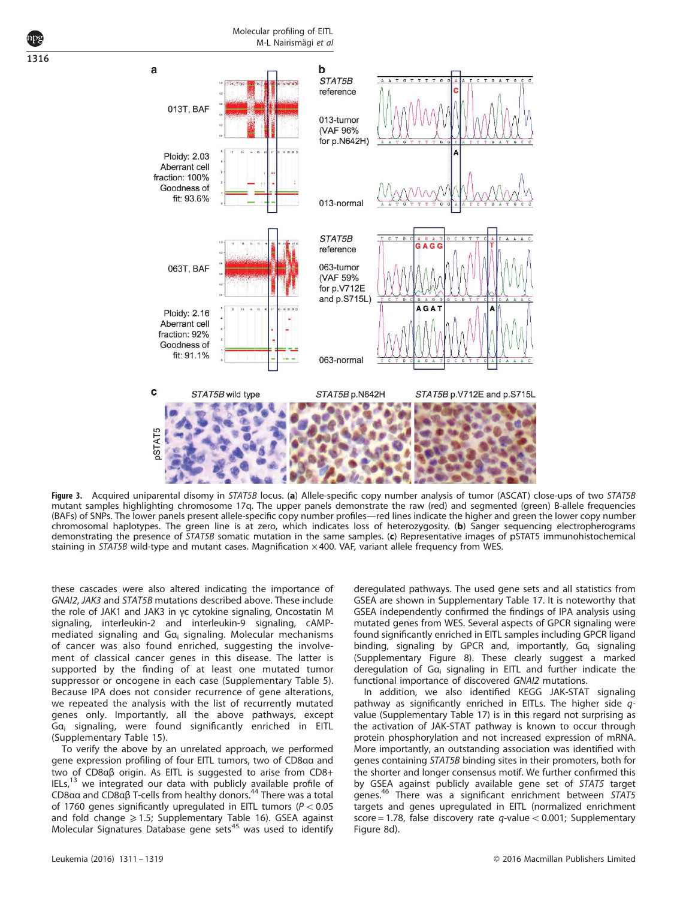1316



Figure 3. Acquired uniparental disomy in STAT5B locus. (a) Allele-specific copy number analysis of tumor (ASCAT) close-ups of two STAT5B mutant samples highlighting chromosome 17q. The upper panels demonstrate the raw (red) and segmented (green) B-allele frequencies (BAFs) of SNPs. The lower panels present allele-specific copy number profiles—red lines indicate the higher and green the lower copy number chromosomal haplotypes. The green line is at zero, which indicates loss of heterozygosity. (b) Sanger sequencing electropherograms demonstrating the presence of STAT5B somatic mutation in the same samples. (c) Representative images of pSTAT5 immunohistochemical staining in STAT5B wild-type and mutant cases. Magnification  $\times$  400. VAF, variant allele frequency from WES.

these cascades were also altered indicating the importance of GNAI2, JAK3 and STAT5B mutations described above. These include the role of JAK1 and JAK3 in γc cytokine signaling, Oncostatin M signaling, interleukin-2 and interleukin-9 signaling, cAMPmediated signaling and  $Ga_i$  signaling. Molecular mechanisms of cancer was also found enriched, suggesting the involvement of classical cancer genes in this disease. The latter is supported by the finding of at least one mutated tumor suppressor or oncogene in each case (Supplementary Table 5). Because IPA does not consider recurrence of gene alterations, we repeated the analysis with the list of recurrently mutated genes only. Importantly, all the above pathways, except Gα<sub>i</sub> signaling, were found significantly enriched in EITL (Supplementary Table 15).

To verify the above by an unrelated approach, we performed gene expression profiling of four EITL tumors, two of CD8αα and two of CD8αβ origin. As EITL is suggested to arise from CD8+  $|E Ls|^{13}$  we integrated our data with publicly available profile of CD8αα and CD8αβ T-cells from healthy donors.<sup>44</sup> There was a total of 1760 genes significantly upregulated in EITL tumors ( $P < 0.05$ and fold change  $\geq 1.5$ ; Supplementary Table 16). GSEA against Molecular Signatures Database gene sets<sup>45</sup> was used to identify deregulated pathways. The used gene sets and all statistics from GSEA are shown in Supplementary Table 17. It is noteworthy that GSEA independently confirmed the findings of IPA analysis using mutated genes from WES. Several aspects of GPCR signaling were found significantly enriched in EITL samples including GPCR ligand binding, signaling by GPCR and, importantly,  $Ga_i$  signaling (Supplementary Figure 8). These clearly suggest a marked deregulation of Gα<sup>i</sup> signaling in EITL and further indicate the functional importance of discovered GNAI2 mutations.

In addition, we also identified KEGG JAK-STAT signaling pathway as significantly enriched in EITLs. The higher side  $q$ value (Supplementary Table 17) is in this regard not surprising as the activation of JAK-STAT pathway is known to occur through protein phosphorylation and not increased expression of mRNA. More importantly, an outstanding association was identified with genes containing STAT5B binding sites in their promoters, both for the shorter and longer consensus motif. We further confirmed this by GSEA against publicly available gene set of STAT5 target genes.<sup>46</sup> There was a significant enrichment between STAT5 targets and genes upregulated in EITL (normalized enrichment score = 1.78, false discovery rate  $q$ -value < 0.001; Supplementary Figure 8d).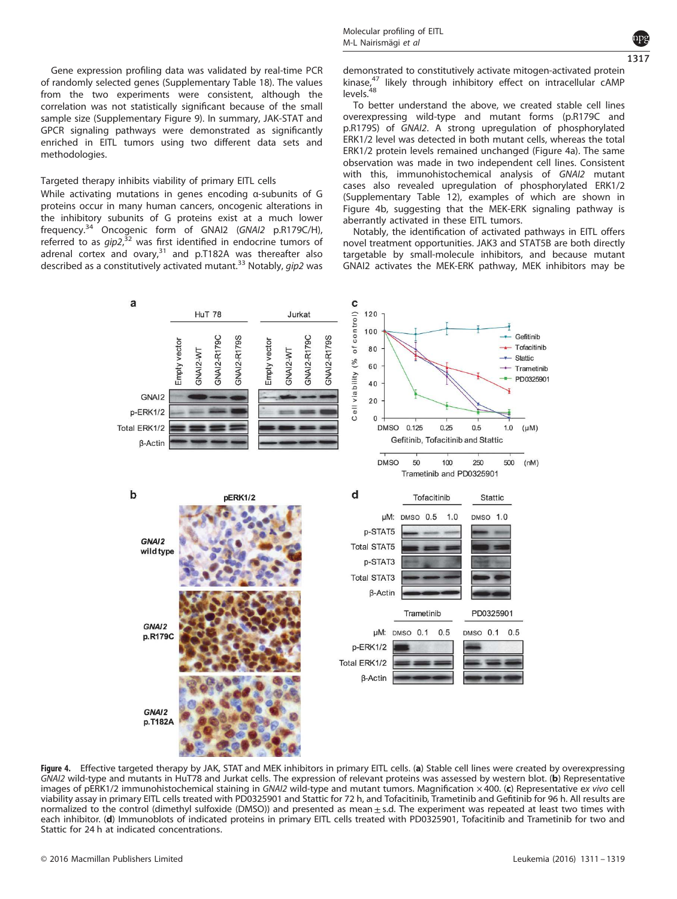Gene expression profiling data was validated by real-time PCR of randomly selected genes (Supplementary Table 18). The values from the two experiments were consistent, although the correlation was not statistically significant because of the small sample size (Supplementary Figure 9). In summary, JAK-STAT and GPCR signaling pathways were demonstrated as significantly enriched in EITL tumors using two different data sets and methodologies.

# Targeted therapy inhibits viability of primary EITL cells

While activating mutations in genes encoding α-subunits of G proteins occur in many human cancers, oncogenic alterations in the inhibitory subunits of G proteins exist at a much lower frequency.<sup>34</sup> Oncogenic form of GNAI2 (GNAI2 p.R179C/H), referred to as  $gip2$ , $32$  was first identified in endocrine tumors of adrenal cortex and ovary, $31$  and p.T182A was thereafter also described as a constitutively activated mutant.<sup>33</sup> Notably, aip2 was demonstrated to constitutively activate mitogen-activated protein kinase,<sup>47</sup> likely through inhibitory effect on intracellular cAMP  $levels.<sup>48</sup>$ 

To better understand the above, we created stable cell lines overexpressing wild-type and mutant forms (p.R179C and p.R179S) of GNAI2. A strong upregulation of phosphorylated ERK1/2 level was detected in both mutant cells, whereas the total ERK1/2 protein levels remained unchanged (Figure 4a). The same observation was made in two independent cell lines. Consistent with this, immunohistochemical analysis of GNAI2 mutant cases also revealed upregulation of phosphorylated ERK1/2 (Supplementary Table 12), examples of which are shown in Figure 4b, suggesting that the MEK-ERK signaling pathway is aberrantly activated in these EITL tumors.

Notably, the identification of activated pathways in EITL offers novel treatment opportunities. JAK3 and STAT5B are both directly targetable by small-molecule inhibitors, and because mutant GNAI2 activates the MEK-ERK pathway, MEK inhibitors may be



Figure 4. Effective targeted therapy by JAK, STAT and MEK inhibitors in primary EITL cells. (a) Stable cell lines were created by overexpressing GNAI2 wild-type and mutants in HuT78 and Jurkat cells. The expression of relevant proteins was assessed by western blot. (b) Representative images of pERK1/2 immunohistochemical staining in GNAI2 wild-type and mutant tumors. Magnification  $\times$  400. (c) Representative ex vivo cell viability assay in primary EITL cells treated with PD0325901 and Stattic for 72 h, and Tofacitinib, Trametinib and Gefitinib for 96 h. All results are normalized to the control (dimethyl sulfoxide (DMSO)) and presented as mean $\pm$ s.d. The experiment was repeated at least two times with each inhibitor. (d) Immunoblots of indicated proteins in primary EITL cells treated with PD0325901, Tofacitinib and Trametinib for two and Stattic for 24 h at indicated concentrations.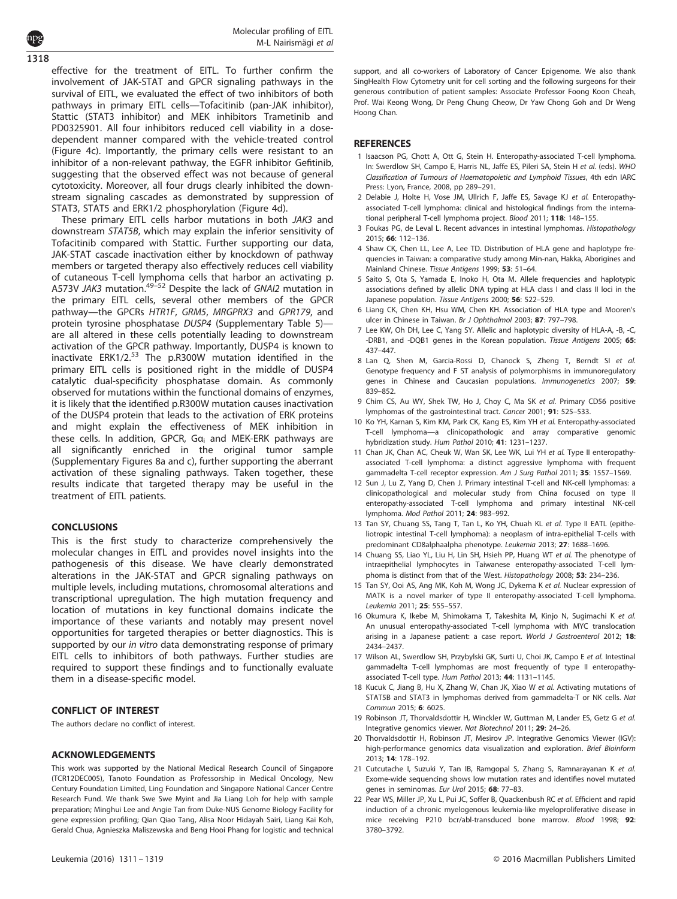effective for the treatment of EITL. To further confirm the involvement of JAK-STAT and GPCR signaling pathways in the survival of EITL, we evaluated the effect of two inhibitors of both pathways in primary EITL cells—Tofacitinib (pan-JAK inhibitor), Stattic (STAT3 inhibitor) and MEK inhibitors Trametinib and PD0325901. All four inhibitors reduced cell viability in a dosedependent manner compared with the vehicle-treated control (Figure 4c). Importantly, the primary cells were resistant to an inhibitor of a non-relevant pathway, the EGFR inhibitor Gefitinib, suggesting that the observed effect was not because of general cytotoxicity. Moreover, all four drugs clearly inhibited the downstream signaling cascades as demonstrated by suppression of STAT3, STAT5 and ERK1/2 phosphorylation (Figure 4d). 1318

These primary EITL cells harbor mutations in both JAK3 and downstream STAT5B, which may explain the inferior sensitivity of Tofacitinib compared with Stattic. Further supporting our data, JAK-STAT cascade inactivation either by knockdown of pathway members or targeted therapy also effectively reduces cell viability of cutaneous T-cell lymphoma cells that harbor an activating p. A573V JAK3 mutation.<sup>49-52</sup> Despite the lack of GNAI2 mutation in the primary EITL cells, several other members of the GPCR pathway—the GPCRs HTR1F, GRM5, MRGPRX3 and GPR179, and protein tyrosine phosphatase DUSP4 (Supplementary Table 5) are all altered in these cells potentially leading to downstream activation of the GPCR pathway. Importantly, DUSP4 is known to inactivate ERK1/2. $53$  The p.R300W mutation identified in the primary EITL cells is positioned right in the middle of DUSP4 catalytic dual-specificity phosphatase domain. As commonly observed for mutations within the functional domains of enzymes, it is likely that the identified p.R300W mutation causes inactivation of the DUSP4 protein that leads to the activation of ERK proteins and might explain the effectiveness of MEK inhibition in these cells. In addition, GPCR, G $a_i$  and MEK-ERK pathways are all significantly enriched in the original tumor sample (Supplementary Figures 8a and c), further supporting the aberrant activation of these signaling pathways. Taken together, these results indicate that targeted therapy may be useful in the treatment of EITL patients.

# **CONCLUSIONS**

This is the first study to characterize comprehensively the molecular changes in EITL and provides novel insights into the pathogenesis of this disease. We have clearly demonstrated alterations in the JAK-STAT and GPCR signaling pathways on multiple levels, including mutations, chromosomal alterations and transcriptional upregulation. The high mutation frequency and location of mutations in key functional domains indicate the importance of these variants and notably may present novel opportunities for targeted therapies or better diagnostics. This is supported by our in vitro data demonstrating response of primary EITL cells to inhibitors of both pathways. Further studies are required to support these findings and to functionally evaluate them in a disease-specific model.

# CONFLICT OF INTEREST

The authors declare no conflict of interest.

# ACKNOWLEDGEMENTS

This work was supported by the National Medical Research Council of Singapore (TCR12DEC005), Tanoto Foundation as Professorship in Medical Oncology, New Century Foundation Limited, Ling Foundation and Singapore National Cancer Centre Research Fund. We thank Swe Swe Myint and Jia Liang Loh for help with sample preparation; Minghui Lee and Angie Tan from Duke-NUS Genome Biology Facility for gene expression profiling; Qian Qiao Tang, Alisa Noor Hidayah Sairi, Liang Kai Koh, Gerald Chua, Agnieszka Maliszewska and Beng Hooi Phang for logistic and technical support, and all co-workers of Laboratory of Cancer Epigenome. We also thank SingHealth Flow Cytometry unit for cell sorting and the following surgeons for their generous contribution of patient samples: Associate Professor Foong Koon Cheah, Prof. Wai Keong Wong, Dr Peng Chung Cheow, Dr Yaw Chong Goh and Dr Weng Hoong Chan.

#### **REFERENCES**

- 1 Isaacson PG, Chott A, Ott G, Stein H. Enteropathy-associated T-cell lymphoma. In: Swerdlow SH, Campo E, Harris NL, Jaffe ES, Pileri SA, Stein H et al. (eds). WHO Classification of Tumours of Haematopoietic and Lymphoid Tissues, 4th edn IARC Press: Lyon, France, 2008, pp 289–291.
- 2 Delabie J, Holte H, Vose JM, Ullrich F, Jaffe ES, Savage KJ et al. Enteropathyassociated T-cell lymphoma: clinical and histological findings from the international peripheral T-cell lymphoma project. Blood 2011; 118: 148–155.
- 3 Foukas PG, de Leval L. Recent advances in intestinal lymphomas. Histopathology 2015; 66: 112–136.
- 4 Shaw CK, Chen LL, Lee A, Lee TD. Distribution of HLA gene and haplotype frequencies in Taiwan: a comparative study among Min-nan, Hakka, Aborigines and Mainland Chinese. Tissue Antigens 1999; 53: 51–64.
- 5 Saito S, Ota S, Yamada E, Inoko H, Ota M. Allele frequencies and haplotypic associations defined by allelic DNA typing at HLA class I and class II loci in the Japanese population. Tissue Antigens 2000; 56: 522-529.
- 6 Liang CK, Chen KH, Hsu WM, Chen KH. Association of HLA type and Mooren's ulcer in Chinese in Taiwan. Br J Ophthalmol 2003; 87: 797–798.
- 7 Lee KW, Oh DH, Lee C, Yang SY. Allelic and haplotypic diversity of HLA-A, -B, -C, -DRB1, and -DQB1 genes in the Korean population. Tissue Antigens 2005; 65: 437–447.
- 8 Lan Q, Shen M, Garcia-Rossi D, Chanock S, Zheng T, Berndt SI et al. Genotype frequency and F ST analysis of polymorphisms in immunoregulatory genes in Chinese and Caucasian populations. Immunogenetics 2007; 59: 839–852.
- 9 Chim CS, Au WY, Shek TW, Ho J, Choy C, Ma SK et al. Primary CD56 positive lymphomas of the gastrointestinal tract. Cancer 2001; 91: 525–533.
- 10 Ko YH, Karnan S, Kim KM, Park CK, Kang ES, Kim YH et al. Enteropathy-associated T-cell lymphoma—a clinicopathologic and array comparative genomic hybridization study. Hum Pathol 2010; 41: 1231–1237.
- 11 Chan JK, Chan AC, Cheuk W, Wan SK, Lee WK, Lui YH et al. Type II enteropathyassociated T-cell lymphoma: a distinct aggressive lymphoma with frequent gammadelta T-cell receptor expression. Am J Surg Pathol 2011; 35: 1557–1569.
- 12 Sun J, Lu Z, Yang D, Chen J. Primary intestinal T-cell and NK-cell lymphomas: a clinicopathological and molecular study from China focused on type II enteropathy-associated T-cell lymphoma and primary intestinal NK-cell lymphoma. Mod Pathol 2011; 24: 983–992.
- 13 Tan SY, Chuang SS, Tang T, Tan L, Ko YH, Chuah KL et al. Type II EATL (epitheliotropic intestinal T-cell lymphoma): a neoplasm of intra-epithelial T-cells with predominant CD8alphaalpha phenotype. Leukemia 2013; 27: 1688–1696.
- 14 Chuang SS, Liao YL, Liu H, Lin SH, Hsieh PP, Huang WT et al. The phenotype of intraepithelial lymphocytes in Taiwanese enteropathy-associated T-cell lymphoma is distinct from that of the West. Histopathology 2008; 53: 234–236.
- 15 Tan SY, Ooi AS, Ang MK, Koh M, Wong JC, Dykema K et al. Nuclear expression of MATK is a novel marker of type II enteropathy-associated T-cell lymphoma. Leukemia 2011; 25: 555–557.
- 16 Okumura K, Ikebe M, Shimokama T, Takeshita M, Kinjo N, Sugimachi K et al. An unusual enteropathy-associated T-cell lymphoma with MYC translocation arising in a Japanese patient: a case report. World J Gastroenterol 2012; 18: 2434–2437.
- 17 Wilson AL, Swerdlow SH, Przybylski GK, Surti U, Choi JK, Campo E et al. Intestinal gammadelta T-cell lymphomas are most frequently of type II enteropathyassociated T-cell type. Hum Pathol 2013; 44: 1131–1145.
- 18 Kucuk C, Jiang B, Hu X, Zhang W, Chan JK, Xiao W et al. Activating mutations of STAT5B and STAT3 in lymphomas derived from gammadelta-T or NK cells. Nat Commun 2015; 6: 6025.
- 19 Robinson JT, Thorvaldsdottir H, Winckler W, Guttman M, Lander ES, Getz G et al. Integrative genomics viewer. Nat Biotechnol 2011; 29: 24–26.
- 20 Thorvaldsdottir H, Robinson JT, Mesirov JP. Integrative Genomics Viewer (IGV): high-performance genomics data visualization and exploration. Brief Bioinform 2013; 14: 178–192.
- 21 Cutcutache I, Suzuki Y, Tan IB, Ramgopal S, Zhang S, Ramnarayanan K et al. Exome-wide sequencing shows low mutation rates and identifies novel mutated genes in seminomas. Eur Urol 2015; 68: 77–83.
- 22 Pear WS, Miller JP, Xu L, Pui JC, Soffer B, Quackenbush RC et al. Efficient and rapid induction of a chronic myelogenous leukemia-like myeloproliferative disease in mice receiving P210 bcr/abl-transduced bone marrow. Blood 1998; 92: 3780–3792.